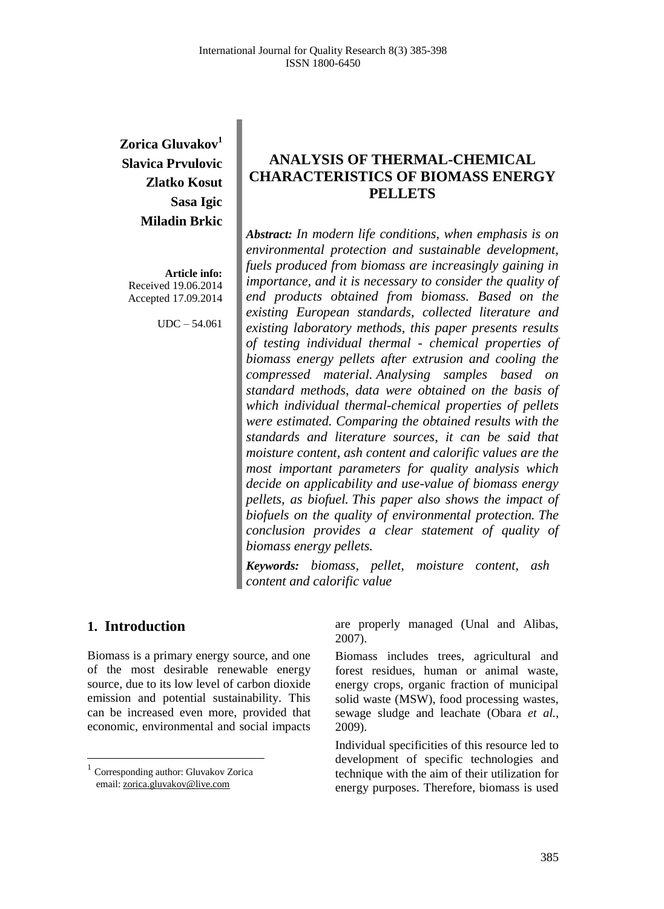**Zorica Gluvakov<sup>1</sup> Slavica Prvulovic Zlatko Kosut Sasa Igic Miladin Brkic** 

**Article info:** Received 19.06.2014 Accepted 17.09.2014

UDC – 54.061

# **ANALYSIS OF THERMAL-CHEMICAL CHARACTERISTICS OF BIOMASS ENERGY PELLETS**

*Abstract: In modern life conditions, when emphasis is on environmental protection and sustainable development, fuels produced from biomass are increasingly gaining in importance, and it is necessary to consider the quality of end products obtained from biomass. Based on the existing European standards, collected literature and existing laboratory methods, this paper presents results of testing individual thermal - chemical properties of biomass energy pellets after extrusion and cooling the compressed material. Analysing samples based on standard methods, data were obtained on the basis of which individual thermal-chemical properties of pellets were estimated. Comparing the obtained results with the standards and literature sources, it can be said that moisture content, ash content and calorific values are the most important parameters for quality analysis which decide on applicability and use-value of biomass energy pellets, as biofuel. This paper also shows the impact of biofuels on the quality of environmental protection. The conclusion provides a clear statement of quality of biomass energy pellets.*

*Keywords: biomass, pellet, moisture content, ash content and calorific value*

## **1. Introduction<sup>1</sup>**

 $\overline{\phantom{a}}$ 

Biomass is a primary energy source, and one of the most desirable renewable energy source, due to its low level of carbon dioxide emission and potential sustainability. This can be increased even more, provided that economic, environmental and social impacts

are properly managed (Unal and Alibas, 2007).

Biomass includes trees, agricultural and forest residues, human or animal waste, energy crops, organic fraction of municipal solid waste (MSW), food processing wastes, sewage sludge and leachate (Obara *et al.*, 2009).

Individual specificities of this resource led to development of specific technologies and technique with the aim of their utilization for energy purposes. Therefore, biomass is used

<sup>&</sup>lt;sup>1</sup> Corresponding author: Gluvakov Zorica email: [zorica.gluvakov@live.com](mailto:zorica.gluvakov@live.com)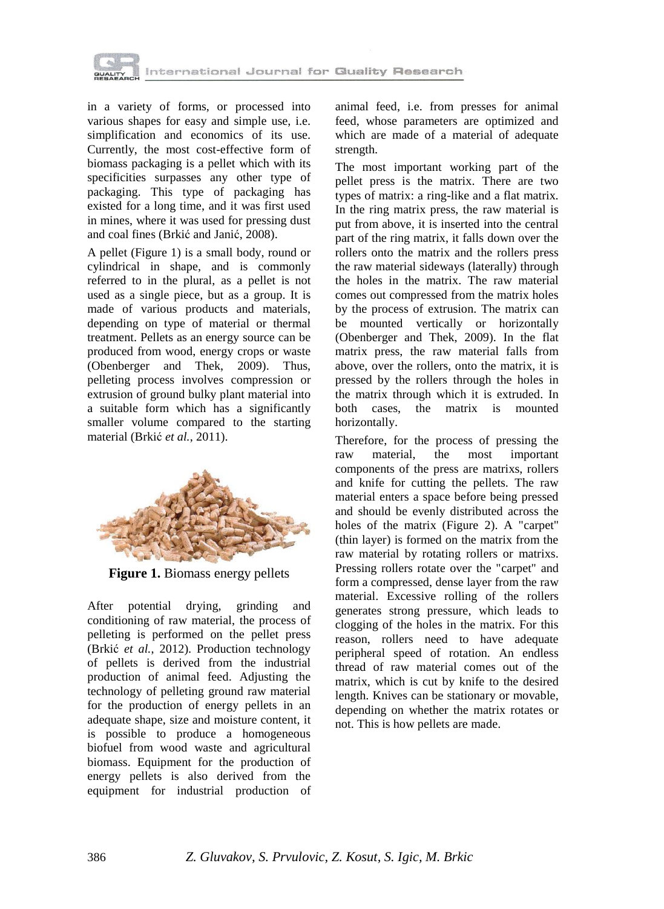

in a variety of forms, or processed into various shapes for easy and simple use, i.e. simplification and economics of its use. Currently, the most cost-effective form of biomass packaging is a pellet which with its specificities surpasses any other type of packaging. This type of packaging has existed for a long time, and it was first used in mines, where it was used for pressing dust and coal fines (Brkić and Janić, 2008).

A pellet (Figure 1) is a small body, round or cylindrical in shape, and is commonly referred to in the plural, as a pellet is not used as a single piece, but as a group. It is made of various products and materials, depending on type of material or thermal treatment. Pellets as an energy source can be produced from wood, energy crops or waste (Obenberger and Thek, 2009). Thus, pelleting process involves compression or extrusion of ground bulky plant material into a suitable form which has a significantly smaller volume compared to the starting material (Brkić *et al.*, 2011).



**Figure 1.** Biomass energy pellets

After potential drying, grinding and conditioning of raw material, the process of pelleting is performed on the pellet press (Brkić *et al.*, 2012). Production technology of pellets is derived from the industrial production of animal feed. Adjusting the technology of pelleting ground raw material for the production of energy pellets in an adequate shape, size and moisture content, it is possible to produce a homogeneous biofuel from wood waste and agricultural biomass. Equipment for the production of energy pellets is also derived from the equipment for industrial production of animal feed, i.e. from presses for animal feed, whose parameters are optimized and which are made of a material of adequate strength.

The most important working part of the pellet press is the matrix. There are two types of matrix: a ring-like and a flat matrix. In the ring matrix press, the raw material is put from above, it is inserted into the central part of the ring matrix, it falls down over the rollers onto the matrix and the rollers press the raw material sideways (laterally) through the holes in the matrix. The raw material comes out compressed from the matrix holes by the process of extrusion. The matrix can be mounted vertically or horizontally (Obenberger and Thek, 2009). In the flat matrix press, the raw material falls from above, over the rollers, onto the matrix, it is pressed by the rollers through the holes in the matrix through which it is extruded. In both cases, the matrix is mounted horizontally.

Therefore, for the process of pressing the raw material, the most important components of the press are matrixs, rollers and knife for cutting the pellets. The raw material enters a space before being pressed and should be evenly distributed across the holes of the matrix (Figure 2). A "carpet" (thin layer) is formed on the matrix from the raw material by rotating rollers or matrixs. Pressing rollers rotate over the "carpet" and form a compressed, dense layer from the raw material. Excessive rolling of the rollers generates strong pressure, which leads to clogging of the holes in the matrix. For this reason, rollers need to have adequate peripheral speed of rotation. An endless thread of raw material comes out of the matrix, which is cut by knife to the desired length. Knives can be stationary or movable, depending on whether the matrix rotates or not. This is how pellets are made.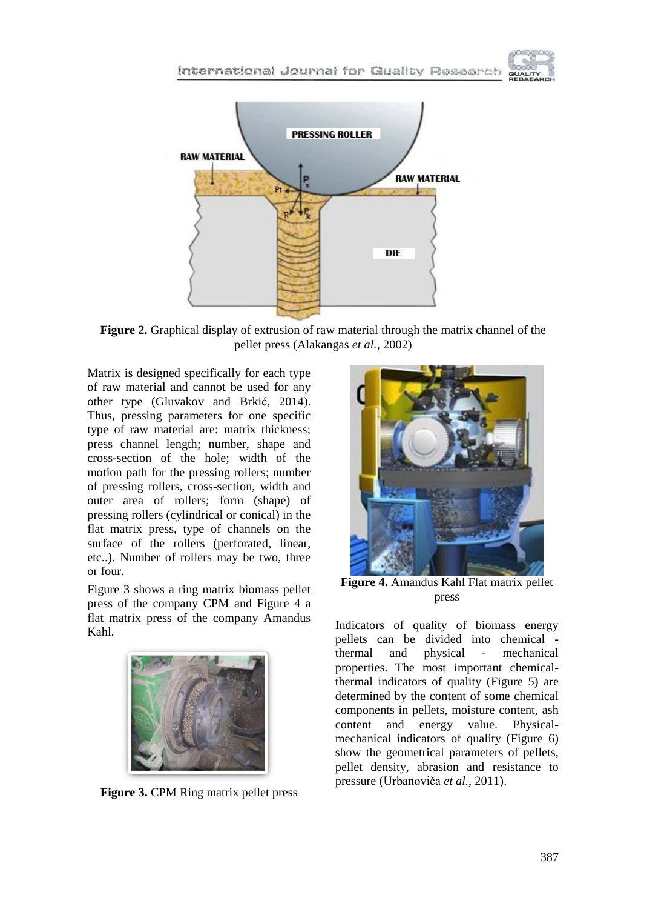



**Figure 2.** Graphical display of extrusion of raw material through the matrix channel of the pellet press (Alakangas *et al.*, 2002)

Matrix is designed specifically for each type of raw material and cannot be used for any other type (Gluvakov and Brkić, 2014). Thus, pressing parameters for one specific type of raw material are: matrix thickness; press channel length; number, shape and cross-section of the hole; width of the motion path for the pressing rollers; number of pressing rollers, cross-section, width and outer area of rollers; form (shape) of pressing rollers (cylindrical or conical) in the flat matrix press, type of channels on the surface of the rollers (perforated, linear, etc..). Number of rollers may be two, three or four.

Figure 3 shows a ring matrix biomass pellet press of the company CPM and Figure 4 a flat matrix press of the company Amandus Kahl.



**Figure 3.** CPM Ring matrix pellet press



**Figure 4.** Amandus Kahl Flat matrix pellet press

Indicators of quality of biomass energy pellets can be divided into chemical thermal and physical - mechanical properties. The most important chemicalthermal indicators of quality (Figure 5) are determined by the content of some chemical components in pellets, moisture content, ash content and energy value. Physicalmechanical indicators of quality (Figure 6) show the geometrical parameters of pellets, pellet density, abrasion and resistance to pressure (Urbanoviča *et al.*, 2011).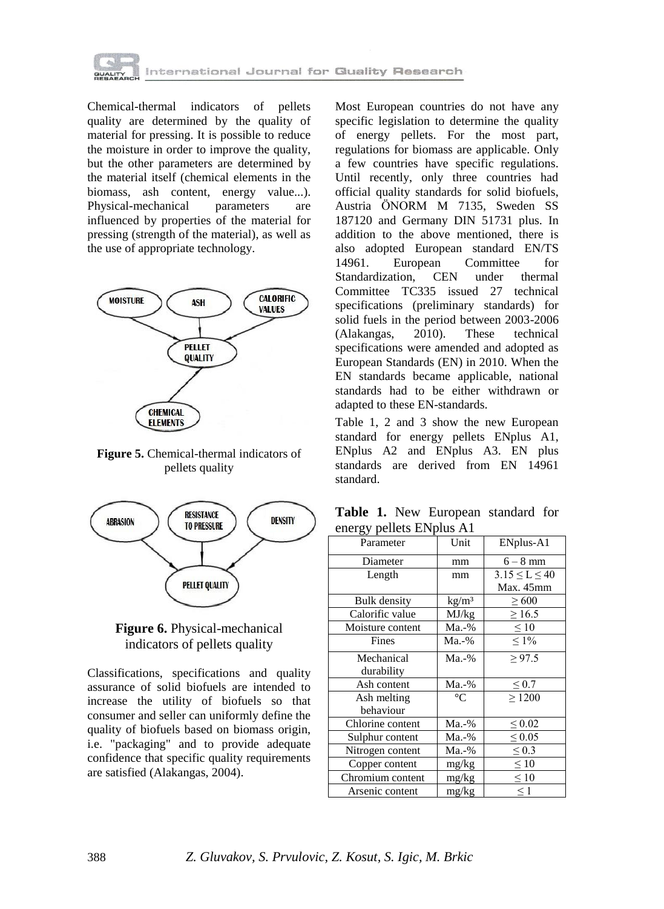

Chemical-thermal indicators of pellets quality are determined by the quality of material for pressing. It is possible to reduce the moisture in order to improve the quality, but the other parameters are determined by the material itself (chemical elements in the biomass, ash content, energy value...). Physical-mechanical parameters are influenced by properties of the material for pressing (strength of the material), as well as the use of appropriate technology.



**Figure 5.** Chemical-thermal indicators of pellets quality





Classifications, specifications and quality assurance of solid biofuels are intended to increase the utility of biofuels so that consumer and seller can uniformly define the quality of biofuels based on biomass origin, i.e. "packaging" and to provide adequate confidence that specific quality requirements are satisfied (Alakangas, 2004).

Most European countries do not have any specific legislation to determine the quality of energy pellets. For the most part, regulations for biomass are applicable. Only a few countries have specific regulations. Until recently, only three countries had official quality standards for solid biofuels, Austria ӦNORM M 7135, Sweden SS 187120 and Germany DIN 51731 plus. In addition to the above mentioned, there is also adopted European standard EN/TS 14961. European Committee for Standardization, CEN under thermal Committee TC335 issued 27 technical specifications (preliminary standards) for solid fuels in the period between 2003-2006 (Alakangas, 2010). These technical specifications were amended and adopted as European Standards (EN) in 2010. When the EN standards became applicable, national standards had to be either withdrawn or adapted to these EN-standards.

Table 1, 2 and 3 show the new European standard for energy pellets ENplus A1, ENplus A2 and ENplus A3. EN plus standards are derived from EN 14961 standard.

**Table 1.** New European standard for energy pellets ENplus A1

| $\sigma$ $\Gamma$ $\sim$ |                   |                       |
|--------------------------|-------------------|-----------------------|
| Parameter                | Unit              | ENplus-A1             |
| Diameter                 | mm                | $6-8$ mm              |
| Length                   | mm                | $3.15 \leq L \leq 40$ |
|                          |                   | Max. 45mm             |
| <b>Bulk density</b>      | kg/m <sup>3</sup> | $\geq 600$            |
| Calorific value          | MJ/kg             | $\geq 16.5$           |
| Moisture content         | Ma.-%             | $\leq 10$             |
| Fines                    | Ma.-%             | $\leq 1\%$            |
| Mechanical               | $Ma.-%$           | > 97.5                |
| durability               |                   |                       |
| Ash content              | Ma.-%             | $\leq 0.7$            |
| Ash melting              | $\circ$ C         | $\geq 1200$           |
| behaviour                |                   |                       |
| Chlorine content         | Ma.-%             | $\leq 0.02$           |
| Sulphur content          | Ma.-%             | $\leq 0.05$           |
| Nitrogen content         | Ma.-%             | $\leq 0.3$            |
| Copper content           | mg/kg             | $\leq 10$             |
| Chromium content         | mg/kg             | $\leq 10$             |
| Arsenic content          | mg/kg             | $\leq 1$              |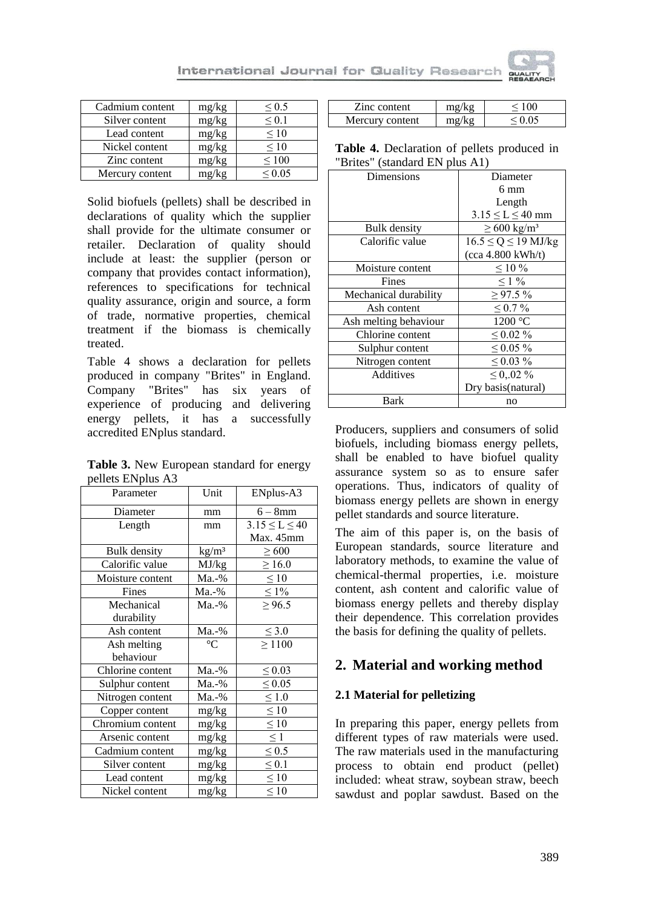

| Cadmium content | mg/kg | ${}^{<}0.5$     |
|-----------------|-------|-----------------|
| Silver content  | mg/kg | ${}^{<}0.1$     |
| Lead content    | mg/kg | ${}_{0}<$ 10    |
| Nickel content  | mg/kg | ${}_{0}<$ 10    |
| Zinc content    | mg/kg | ${}_{\leq 100}$ |
| Mercury content | mg/kg | ${}^{<}$ 0.05   |

Solid biofuels (pellets) shall be described in declarations of quality which the supplier shall provide for the ultimate consumer or retailer. Declaration of quality should include at least: the supplier (person or company that provides contact information), references to specifications for technical quality assurance, origin and source, a form of trade, normative properties, chemical treatment if the biomass is chemically treated.

Table 4 shows a declaration for pellets produced in company "Brites" in England. Company "Brites" has six years of experience of producing and delivering energy pellets, it has a successfully accredited ENplus standard.

**Table 3.** New European standard for energy pellets ENplus A3

| Parameter           | Unit              | ENplus-A3             |
|---------------------|-------------------|-----------------------|
| Diameter            | mm                | $6-8$ mm              |
| Length              | mm                | $3.15 \leq L \leq 40$ |
|                     |                   | Max. 45mm             |
| <b>Bulk</b> density | kg/m <sup>3</sup> | $\geq 600$            |
| Calorific value     | MJ/kg             | $\geq 16.0$           |
| Moisture content    | Ma.-%             | $\leq 10$             |
| Fines               | $Ma.-\%$          | $\leq 1\%$            |
| Mechanical          | Ma.-%             | $\geq 96.5$           |
| durability          |                   |                       |
| Ash content         | Ma.-%             | $\leq 3.0$            |
| Ash melting         | $\rm ^{\circ}C$   | $\geq 1100$           |
| behaviour           |                   |                       |
| Chlorine content    | Ma.-%             | $\leq 0.03$           |
| Sulphur content     | Ma.-%             | $\leq 0.05$           |
| Nitrogen content    | Ma.-%             | $\leq 1.0$            |
| Copper content      | mg/kg             | $\leq 10$             |
| Chromium content    | mg/kg             | $\leq 10$             |
| Arsenic content     | mg/kg             | $\leq$ 1              |
| Cadmium content     | mg/kg             | $\leq 0.5$            |
| Silver content      | mg/kg             | $\leq 0.1$            |
| Lead content        | mg/kg             | $\leq 10$             |
| Nickel content      | mg/kg             | $\leq 10$             |

| Zinc content  |        |  |
|---------------|--------|--|
| rcury content | $\sim$ |  |

**Table 4.** Declaration of pellets produced in "Brites" (standard EN plus A1)

| Dimensions            | Diameter                    |
|-----------------------|-----------------------------|
|                       | $6 \text{ mm}$              |
|                       | Length                      |
|                       | $3.15 \le L \le 40$ mm      |
| <b>Bulk</b> density   | $\geq 600 \text{ kg/m}^3$   |
| Calorific value       | $16.5 \le Q \le 19$ MJ/kg   |
|                       | $(cca 4.800 \text{ kWh/t})$ |
| Moisture content      | $\leq 10\%$                 |
| Fines                 | $\leq 1\%$                  |
| Mechanical durability | $\geq$ 97.5%                |
| Ash content           | < 0.7 %                     |
| Ash melting behaviour | 1200 °C                     |
| Chlorine content      | $\leq 0.02 \%$              |
| Sulphur content       | ${}_{0.05\%}$               |
| Nitrogen content      | $\leq 0.03 \%$              |
| Additives             | $\leq 0.02 \%$              |
|                       | Dry basis(natural)          |
| Bark                  | no                          |

Producers, suppliers and consumers of solid biofuels, including biomass energy pellets, shall be enabled to have biofuel quality assurance system so as to ensure safer operations. Thus, indicators of quality of biomass energy pellets are shown in energy pellet standards and source literature.

The aim of this paper is, on the basis of European standards, source literature and laboratory methods, to examine the value of chemical-thermal properties, i.e. moisture content, ash content and calorific value of biomass energy pellets and thereby display their dependence. This correlation provides the basis for defining the quality of pellets.

# **2. Material and working method**

## **2.1 Material for pelletizing**

In preparing this paper, energy pellets from different types of raw materials were used. The raw materials used in the manufacturing process to obtain end product (pellet) included: wheat straw, soybean straw, beech sawdust and poplar sawdust. Based on the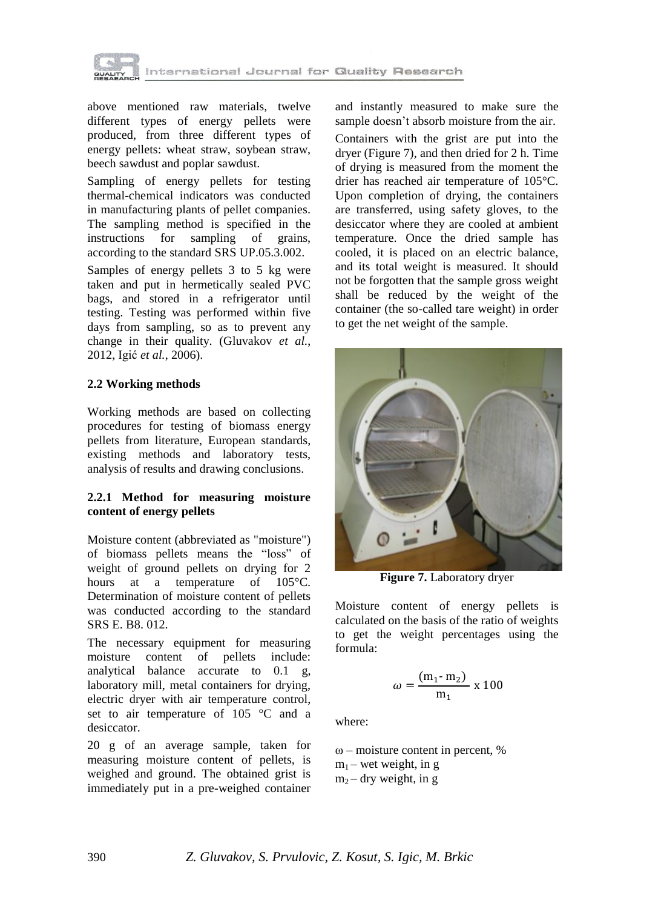

above mentioned raw materials, twelve different types of energy pellets were produced, from three different types of energy pellets: wheat straw, soybean straw, beech sawdust and poplar sawdust.

Sampling of energy pellets for testing thermal-chemical indicators was conducted in manufacturing plants of pellet companies. The sampling method is specified in the instructions for sampling of grains, according to the standard SRS UP.05.3.002.

Samples of energy pellets 3 to 5 kg were taken and put in hermetically sealed PVC bags, and stored in a refrigerator until testing. Testing was performed within five days from sampling, so as to prevent any change in their quality. (Gluvakov *et al.*, 2012, Igić *et al.*, 2006).

### **2.2 Working methods**

Working methods are based on collecting procedures for testing of biomass energy pellets from literature, European standards, existing methods and laboratory tests, analysis of results and drawing conclusions.

### **2.2.1 Method for measuring moisture content of energy pellets**

Moisture content (abbreviated as "moisture") of biomass pellets means the "loss" of weight of ground pellets on drying for 2 hours at a temperature of 105 °C. Determination of moisture content of pellets was conducted according to the standard SRS E. B8. 012.

The necessary equipment for measuring moisture content of pellets include: analytical balance accurate to 0.1 g, laboratory mill, metal containers for drying, electric dryer with air temperature control, set to air temperature of 105 °C and a desiccator.

20 g of an average sample, taken for measuring moisture content of pellets, is weighed and ground. The obtained grist is immediately put in a pre-weighed container and instantly measured to make sure the sample doesn't absorb moisture from the air.

Containers with the grist are put into the dryer (Figure 7), and then dried for 2 h. Time of drying is measured from the moment the drier has reached air temperature of 105°C. Upon completion of drying, the containers are transferred, using safety gloves, to the desiccator where they are cooled at ambient temperature. Once the dried sample has cooled, it is placed on an electric balance, and its total weight is measured. It should not be forgotten that the sample gross weight shall be reduced by the weight of the container (the so-called tare weight) in order to get the net weight of the sample.



**Figure 7.** Laboratory dryer

Moisture content of energy pellets is calculated on the basis of the ratio of weights to get the weight percentages using the formula:

$$
\omega = \frac{(m_1 - m_2)}{m_1} \times 100
$$

where:

 $\omega$  – moisture content in percent, %  $m_1$  – wet weight, in g  $m<sub>2</sub> - dry weight, in g$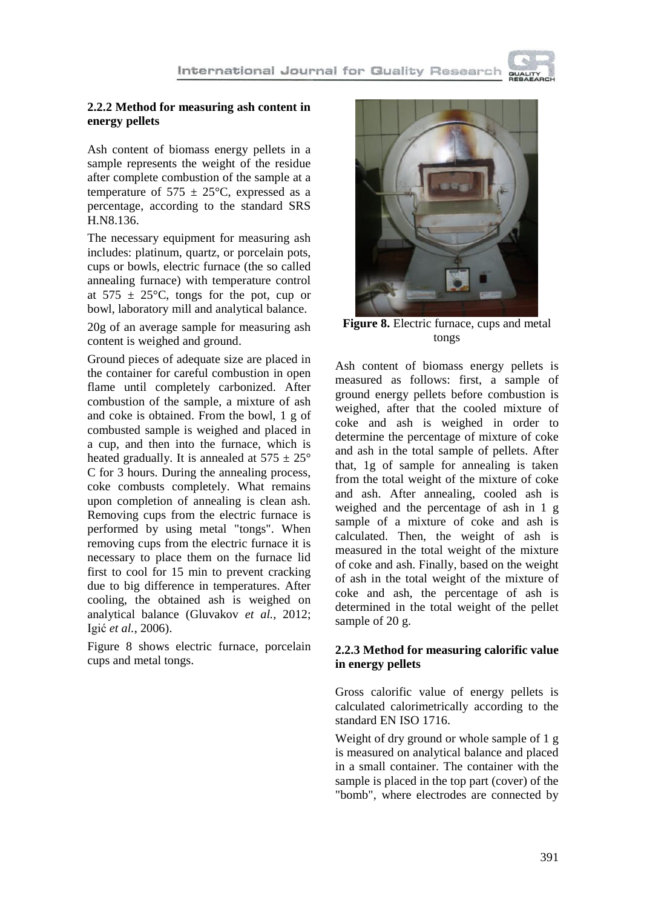

## **2.2.2 Method for measuring ash content in energy pellets**

Ash content of biomass energy pellets in a sample represents the weight of the residue after complete combustion of the sample at a temperature of  $575 \pm 25^{\circ}$ C, expressed as a percentage, according to the standard SRS H.N8.136.

The necessary equipment for measuring ash includes: platinum, quartz, or porcelain pots, cups or bowls, electric furnace (the so called annealing furnace) with temperature control at  $575 \pm 25^{\circ}$ C, tongs for the pot, cup or bowl, laboratory mill and analytical balance.

20g of an average sample for measuring ash content is weighed and ground.

Ground pieces of adequate size are placed in the container for careful combustion in open flame until completely carbonized. After combustion of the sample, a mixture of ash and coke is obtained. From the bowl, 1 g of combusted sample is weighed and placed in a cup, and then into the furnace, which is heated gradually. It is annealed at  $575 \pm 25^{\circ}$ C for 3 hours. During the annealing process, coke combusts completely. What remains upon completion of annealing is clean ash. Removing cups from the electric furnace is performed by using metal "tongs". When removing cups from the electric furnace it is necessary to place them on the furnace lid first to cool for 15 min to prevent cracking due to big difference in temperatures. After cooling, the obtained ash is weighed on analytical balance (Gluvakov *et al.*, 2012; Igić *et al.*, 2006).

Figure 8 shows electric furnace, porcelain cups and metal tongs.



**Figure 8.** Electric furnace, cups and metal tongs

Ash content of biomass energy pellets is measured as follows: first, a sample of ground energy pellets before combustion is weighed, after that the cooled mixture of coke and ash is weighed in order to determine the percentage of mixture of coke and ash in the total sample of pellets. After that, 1g of sample for annealing is taken from the total weight of the mixture of coke and ash. After annealing, cooled ash is weighed and the percentage of ash in 1 g sample of a mixture of coke and ash is calculated. Then, the weight of ash is measured in the total weight of the mixture of coke and ash. Finally, based on the weight of ash in the total weight of the mixture of coke and ash, the percentage of ash is determined in the total weight of the pellet sample of 20 g.

## **2.2.3 Method for measuring calorific value in energy pellets**

Gross calorific value of energy pellets is calculated calorimetrically according to the standard EN ISO 1716.

Weight of dry ground or whole sample of 1 g is measured on analytical balance and placed in a small container. The container with the sample is placed in the top part (cover) of the "bomb", where electrodes are connected by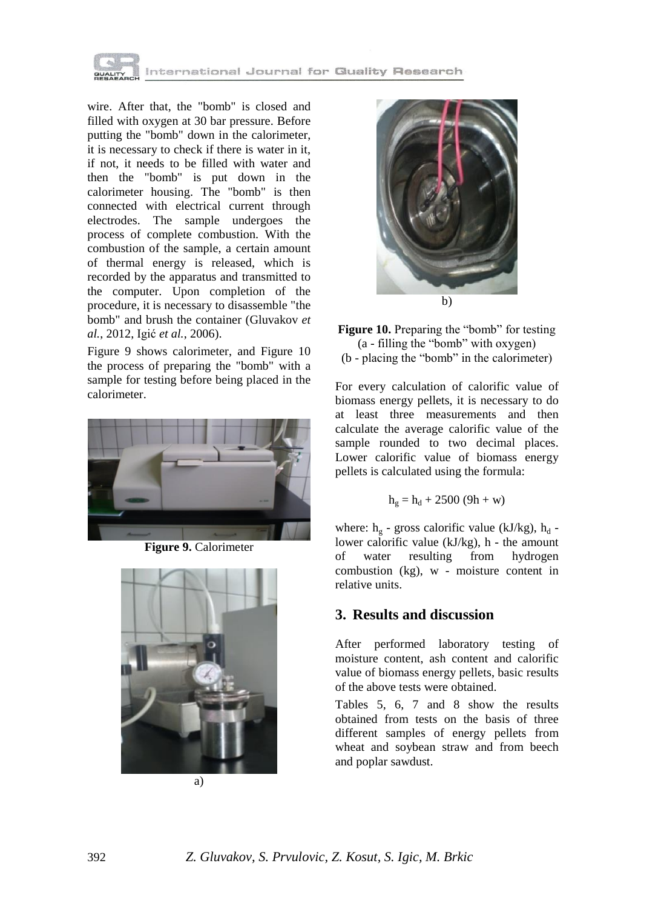

wire. After that, the "bomb" is closed and filled with oxygen at 30 bar pressure. Before putting the "bomb" down in the calorimeter, it is necessary to check if there is water in it, if not, it needs to be filled with water and then the "bomb" is put down in the calorimeter housing. The "bomb" is then connected with electrical current through electrodes. The sample undergoes the process of complete combustion. With the combustion of the sample, a certain amount of thermal energy is released, which is recorded by the apparatus and transmitted to the computer. Upon completion of the procedure, it is necessary to disassemble "the bomb" and brush the container (Gluvakov *et al.*, 2012, Igić *et al.*, 2006).

Figure 9 shows calorimeter, and Figure 10 the process of preparing the "bomb" with a sample for testing before being placed in the calorimeter.



**Figure 9.** Calorimeter







**Figure 10.** Preparing the "bomb" for testing (a - filling the "bomb" with oxygen) (b - placing the "bomb" in the calorimeter)

For every calculation of calorific value of biomass energy pellets, it is necessary to do at least three measurements and then calculate the average calorific value of the sample rounded to two decimal places. Lower calorific value of biomass energy pellets is calculated using the formula:

$$
h_g=h_d+2500\ (9h+w)
$$

where:  $h_g$  - gross calorific value (kJ/kg),  $h_d$  lower calorific value (kJ/kg), h - the amount of water resulting from hydrogen combustion (kg), w - moisture content in relative units.

## **3. Results and discussion**

After performed laboratory testing of moisture content, ash content and calorific value of biomass energy pellets, basic results of the above tests were obtained.

Tables 5, 6, 7 and 8 show the results obtained from tests on the basis of three different samples of energy pellets from wheat and soybean straw and from beech and poplar sawdust.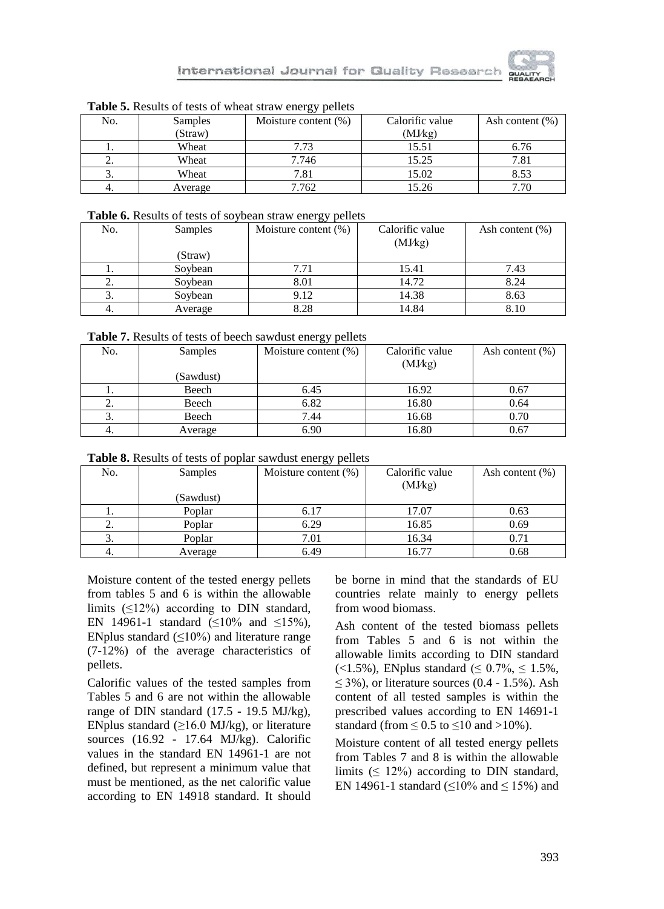

| <b>THERE</b> is regard of tests of wheat straw energy periods |                |                         |                 |                    |
|---------------------------------------------------------------|----------------|-------------------------|-----------------|--------------------|
| No.                                                           | <b>Samples</b> | Moisture content $(\%)$ | Calorific value | Ash content $(\%)$ |
|                                                               | (Straw)        |                         | (MJkg)          |                    |
| . .                                                           | Wheat          | 7.73                    | 15.51           | 6.76               |
| ۷.                                                            | Wheat          | 7.746                   | 15.25           | 7.81               |
|                                                               | Wheat          | 7.81                    | 15.02           | 8.53               |
| 4.                                                            | Average        | 7.762                   | 15.26           | 7.70               |

**Table 5.** Results of tests of wheat straw energy pellets

#### **Table 6.** Results of tests of soybean straw energy pellets

| No. | Samples | Moisture content $(\%)$ | Calorific value<br>(MJkg) | Ash content $(\%)$ |
|-----|---------|-------------------------|---------------------------|--------------------|
|     | (Straw) |                         |                           |                    |
| .,  | Soybean | 7.71                    | 15.41                     | 7.43               |
| 2.  | Soybean | 8.01                    | 14.72                     | 8.24               |
|     | Soybean | 9.12                    | 14.38                     | 8.63               |
| 4.  | Average | 8.28                    | 14.84                     | 8.10               |

**Table 7.** Results of tests of beech sawdust energy pellets

| No. | Samples   | <i>oj</i> r<br>Moisture content $(\%)$ | Calorific value | Ash content $(\%)$ |
|-----|-----------|----------------------------------------|-----------------|--------------------|
|     |           |                                        | (MJkg)          |                    |
|     | (Sawdust) |                                        |                 |                    |
|     | Beech     | 6.45                                   | 16.92           | 0.67               |
| ۷.  | Beech     | 6.82                                   | 16.80           | 0.64               |
| Ć.  | Beech     | 7.44                                   | 16.68           | 0.70               |
|     | Average   | 6.90                                   | 16.80           | 0.67               |

| Table 8. Results of tests of poplar sawdust energy pellets |  |  |  |
|------------------------------------------------------------|--|--|--|
|------------------------------------------------------------|--|--|--|

|     |           | ر س                     |                 |                    |
|-----|-----------|-------------------------|-----------------|--------------------|
| No. | Samples   | Moisture content $(\%)$ | Calorific value | Ash content $(\%)$ |
|     |           |                         | (MJkg)          |                    |
|     | (Sawdust) |                         |                 |                    |
| .,  | Poplar    | 6.17                    | 17.07           | 0.63               |
| 2.  | Poplar    | 6.29                    | 16.85           | 0.69               |
| 3.  | Poplar    | 7.01                    | 16.34           | 0.71               |
|     | Average   | 6.49                    | 16.77           | 0.68               |

Moisture content of the tested energy pellets from tables 5 and 6 is within the allowable limits  $(\leq 12\%)$  according to DIN standard, EN 14961-1 standard ( $\leq 10\%$  and  $\leq 15\%$ ), ENplus standard  $(\leq 10\%)$  and literature range (7-12%) of the average characteristics of pellets.

Calorific values of the tested samples from Tables 5 and 6 are not within the allowable range of DIN standard (17.5 - 19.5 MJ/kg), ENplus standard  $(\geq 16.0 \text{ MJ/kg})$ , or literature sources (16.92 - 17.64 MJ/kg). Calorific values in the standard EN 14961-1 are not defined, but represent a minimum value that must be mentioned, as the net calorific value according to EN 14918 standard. It should be borne in mind that the standards of EU countries relate mainly to energy pellets from wood biomass.

Ash content of the tested biomass pellets from Tables 5 and 6 is not within the allowable limits according to DIN standard (<1.5%), ENplus standard ( $\leq 0.7\%$ ,  $\leq 1.5\%$ ,  $\leq$  3%), or literature sources (0.4 - 1.5%). Ash content of all tested samples is within the prescribed values according to EN 14691-1 standard (from  $\leq 0.5$  to  $\leq 10$  and  $>10\%$ ).

Moisture content of all tested energy pellets from Tables 7 and 8 is within the allowable limits  $( \leq 12\%)$  according to DIN standard, EN 14961-1 standard ( $\leq$ 10% and  $\leq$  15%) and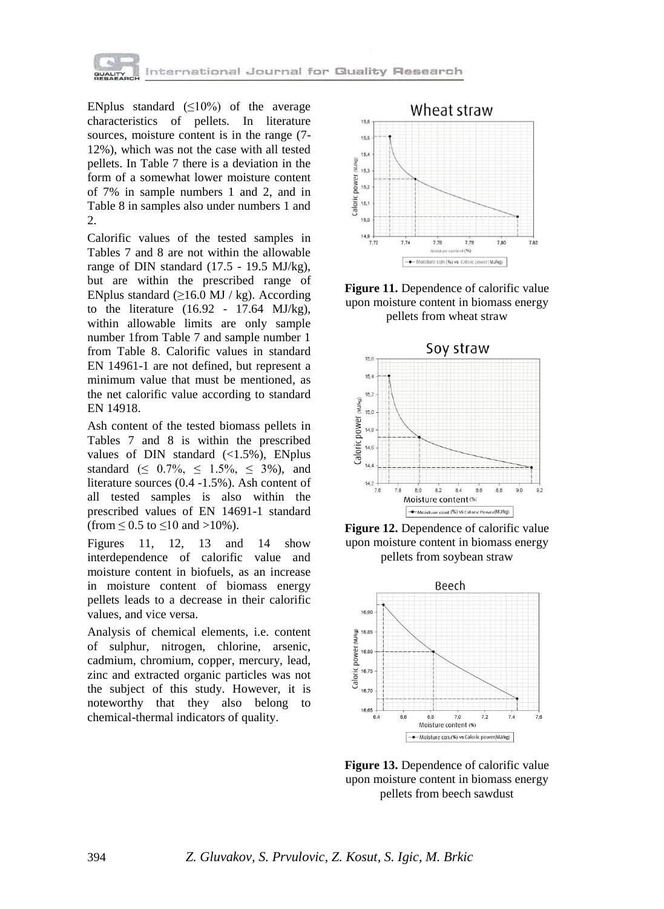

ENplus standard  $(\leq 10\%)$  of the average characteristics of pellets. In literature sources, moisture content is in the range (7- 12%), which was not the case with all tested pellets. In Table 7 there is a deviation in the form of a somewhat lower moisture content of 7% in sample numbers 1 and 2, and in Table 8 in samples also under numbers 1 and 2.

Calorific values of the tested samples in Tables 7 and 8 are not within the allowable range of DIN standard (17.5 - 19.5 MJ/kg), but are within the prescribed range of ENplus standard  $(≥16.0$  MJ / kg). According to the literature (16.92 - 17.64 MJ/kg), within allowable limits are only sample number 1from Table 7 and sample number 1 from Table 8. Calorific values in standard EN 14961-1 are not defined, but represent a minimum value that must be mentioned, as the net calorific value according to standard EN 14918.

Ash content of the tested biomass pellets in Tables 7 and 8 is within the prescribed values of DIN standard  $(\langle 1.5\%),$  ENplus standard ( $\leq 0.7\%$ ,  $\leq 1.5\%$ ,  $\leq 3\%$ ), and literature sources (0.4 -1.5%). Ash content of all tested samples is also within the prescribed values of EN 14691-1 standard (from  $\leq$  0.5 to  $\leq$ 10 and >10%).

Figures 11, 12, 13 and 14 show interdependence of calorific value and moisture content in biofuels, as an increase in moisture content of biomass energy pellets leads to a decrease in their calorific values, and vice versa.

Analysis of chemical elements, i.e. content of sulphur, nitrogen, chlorine, arsenic, cadmium, chromium, copper, mercury, lead, zinc and extracted organic particles was not the subject of this study. However, it is noteworthy that they also belong to chemical-thermal indicators of quality.



**Figure 11.** Dependence of calorific value upon moisture content in biomass energy pellets from wheat straw







**Figure 13.** Dependence of calorific value upon moisture content in biomass energy pellets from beech sawdust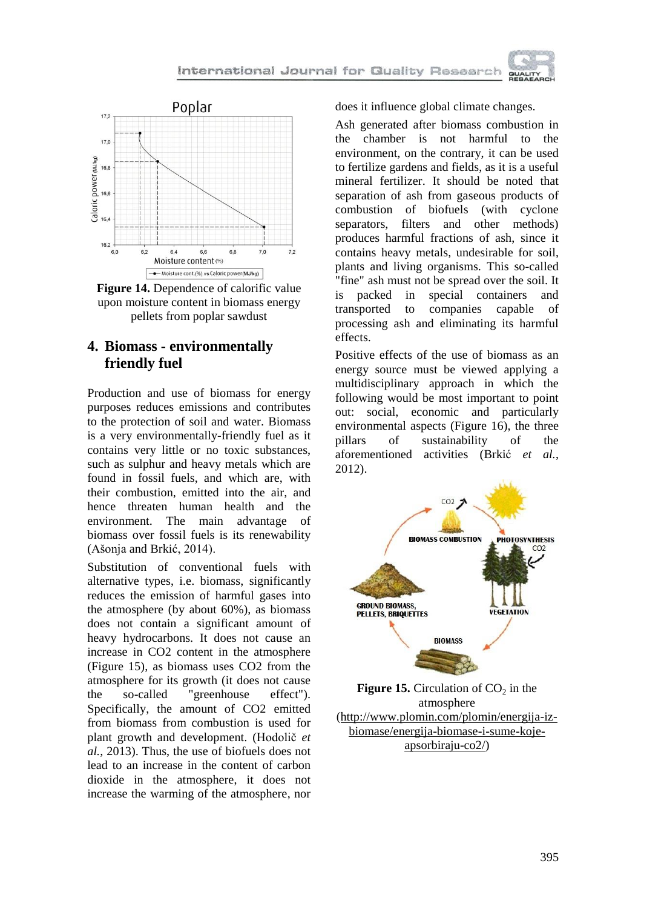



# **4. Biomass - environmentally friendly fuel**

Production and use of biomass for energy purposes reduces emissions and contributes to the protection of soil and water. Biomass is a very environmentally-friendly fuel as it contains very little or no toxic substances, such as sulphur and heavy metals which are found in fossil fuels, and which are, with their combustion, emitted into the air, and hence threaten human health and the environment. The main advantage of biomass over fossil fuels is its renewability (Ašonja and Brkić, 2014).

Substitution of conventional fuels with alternative types, i.e. biomass, significantly reduces the emission of harmful gases into the atmosphere (by about 60%), as biomass does not contain a significant amount of heavy hydrocarbons. It does not cause an increase in CO2 content in the atmosphere (Figure 15), as biomass uses CO2 from the atmosphere for its growth (it does not cause the so-called "greenhouse effect"). Specifically, the amount of CO2 emitted from biomass from combustion is used for plant growth and development. (Hodolič *et al.*, 2013). Thus, the use of biofuels does not lead to an increase in the content of carbon dioxide in the atmosphere, it does not increase the warming of the atmosphere, nor

does it influence global climate changes.

Ash generated after biomass combustion in the chamber is not harmful to the environment, on the contrary, it can be used to fertilize gardens and fields, as it is a useful mineral fertilizer. It should be noted that separation of ash from gaseous products of combustion of biofuels (with cyclone separators, filters and other methods) produces harmful fractions of ash, since it contains heavy metals, undesirable for soil, plants and living organisms. This so-called "fine" ash must not be spread over the soil. It is packed in special containers and transported to companies capable of processing ash and eliminating its harmful effects.

Positive effects of the use of biomass as an energy source must be viewed applying a multidisciplinary approach in which the following would be most important to point out: social, economic and particularly environmental aspects (Figure 16), the three pillars of sustainability of the aforementioned activities (Brkić *et al.*, 2012).



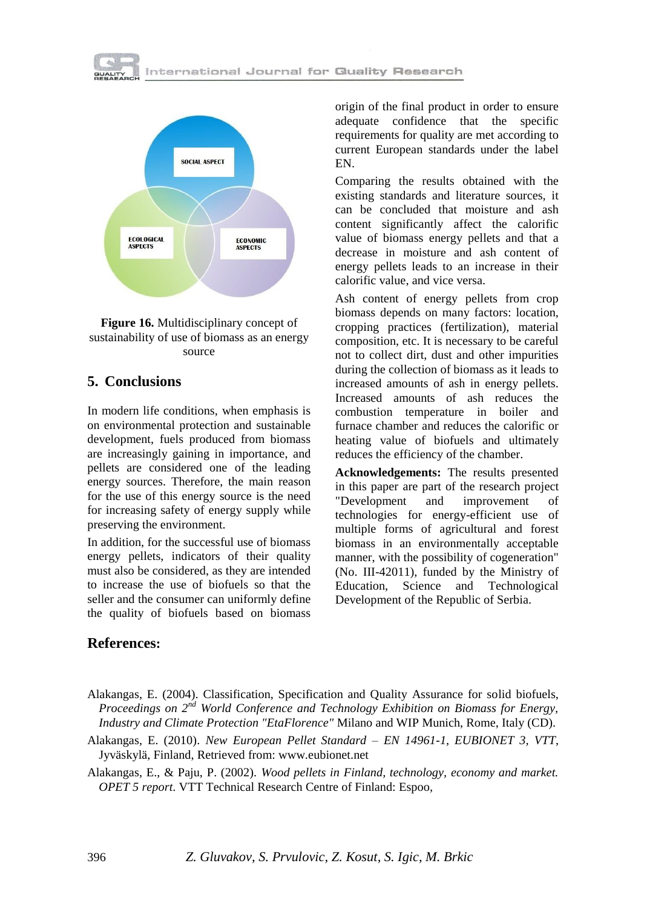





## **5. Conclusions**

In modern life conditions, when emphasis is on environmental protection and sustainable development, fuels produced from biomass are increasingly gaining in importance, and pellets are considered one of the leading energy sources. Therefore, the main reason for the use of this energy source is the need for increasing safety of energy supply while preserving the environment.

In addition, for the successful use of biomass energy pellets, indicators of their quality must also be considered, as they are intended to increase the use of biofuels so that the seller and the consumer can uniformly define the quality of biofuels based on biomass

# **References:**

origin of the final product in order to ensure adequate confidence that the specific requirements for quality are met according to current European standards under the label EN.

Comparing the results obtained with the existing standards and literature sources, it can be concluded that moisture and ash content significantly affect the calorific value of biomass energy pellets and that a decrease in moisture and ash content of energy pellets leads to an increase in their calorific value, and vice versa.

Ash content of energy pellets from crop biomass depends on many factors: location, cropping practices (fertilization), material composition, etc. It is necessary to be careful not to collect dirt, dust and other impurities during the collection of biomass as it leads to increased amounts of ash in energy pellets. Increased amounts of ash reduces the combustion temperature in boiler and furnace chamber and reduces the calorific or heating value of biofuels and ultimately reduces the efficiency of the chamber.

**Acknowledgements:** The results presented in this paper are part of the research project "Development and improvement of technologies for energy-efficient use of multiple forms of agricultural and forest biomass in an environmentally acceptable manner, with the possibility of cogeneration" (No. III-42011), funded by the Ministry of Education, Science and Technological Development of the Republic of Serbia.

- Alakangas, E. (2004). Classification, Specification and Quality Assurance for solid biofuels, *Proceedings on 2nd World Conference and Technology Exhibition on Biomass for Energy, Industry and Climate Protection "EtaFlorence"* Milano and WIP Munich, Rome, Italy (CD).
- Alakangas, E. (2010). *New European Pellet Standard – EN 14961-1, EUBIONET 3, VTT*, Jyväskylä, Finland, Retrieved from: www.eubionet.net

Alakangas, E., & Paju, P. (2002). *Wood pellets in Finland, technology, economy and market. OPET 5 report*. VTT Technical Research Centre of Finland: Espoo,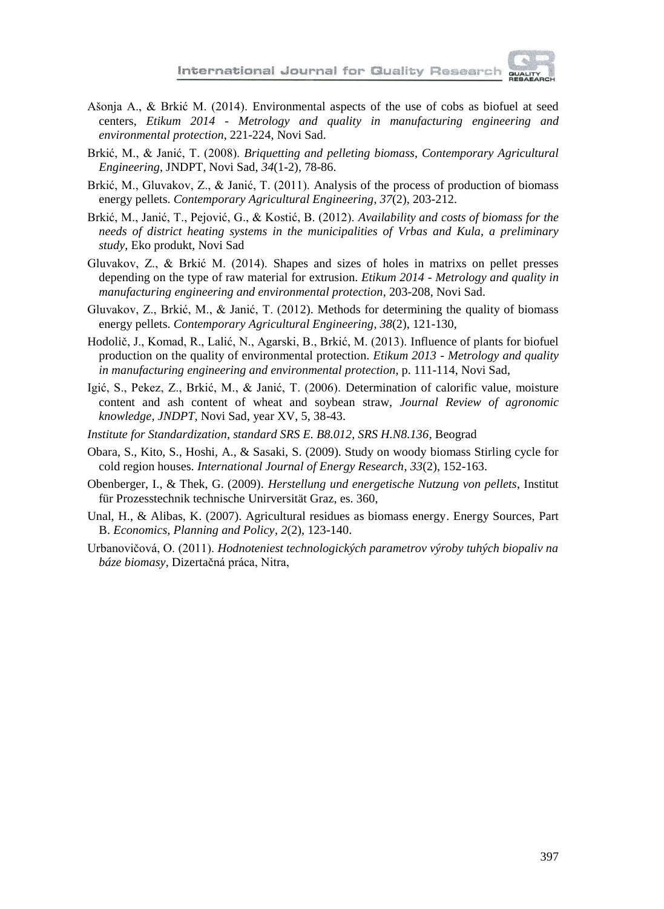

- Ašonja A., & Brkić M. (2014). Environmental aspects of the use of cobs as biofuel at seed centers, *Etikum 2014 - Metrology and quality in manufacturing engineering and environmental protection*, 221-224, Novi Sad.
- Brkić, M., & Janić, T. (2008). *Briquetting and pelleting biomass*, *Contemporary Agricultural Engineering*, JNDPT, Novi Sad, *34*(1-2), 78-86.
- Brkić, M., Gluvakov, Z., & Janić, T. (2011). Analysis of the process of production of biomass energy pellets. *Contemporary Agricultural Engineering*, *37*(2), 203-212.
- Brkić, M., Janić, T., Pejović, G., & Kostić, B. (2012). *Availability and costs of biomass for the needs of district heating systems in the municipalities of Vrbas and Kula, a preliminary study*, Eko produkt, Novi Sad
- Gluvakov, Z., & Brkić M. (2014). Shapes and sizes of holes in matrixs on pellet presses depending on the type of raw material for extrusion. *Etikum 2014 - Metrology and quality in manufacturing engineering and environmental protection*, 203-208, Novi Sad.
- Gluvakov, Z., Brkić, M., & Janić, T. (2012). Methods for determining the quality of biomass energy pellets. *Contemporary Agricultural Engineering*, *38*(2), 121-130,
- Hodolič, J., Komad, R., Lalić, N., Agarski, B., Brkić, M. (2013). Influence of plants for biofuel production on the quality of environmental protection. *Etikum 2013 - Metrology and quality in manufacturing engineering and environmental protection*, p. 111-114, Novi Sad,
- Igić, S., Pekez, Z., Brkić, M., & Janić, T. (2006). Determination of calorific value, moisture content and ash content of wheat and soybean straw, *Journal Review of agronomic knowledge, JNDPT*, Novi Sad, year XV, 5, 38-43.
- *Institute for Standardization, standard SRS E. B8.012, SRS H.N8.136*, Beograd
- Obara, S., Kito, S., Hoshi, A., & Sasaki, S. (2009). Study on woody biomass Stirling cycle for cold region houses. *International Journal of Energy Research*, *33*(2), 152-163.
- Obenberger, I., & Thek, G. (2009). *Herstellung und energetische Nutzung von pellets*, Institut für Prozesstechnik technische Unirversität Graz, es. 360,
- Unal, H., & Alibas, K. (2007). Agricultural residues as biomass energy. Energy Sources, Part B. *Economics, Planning and Policy*, *2*(2), 123-140.
- Urbanovičová, O. (2011). *Hodnoteniest technologických parametrov výroby tuhých biopaliv na báze biomasy*, Dizertačná práca, Nitra,